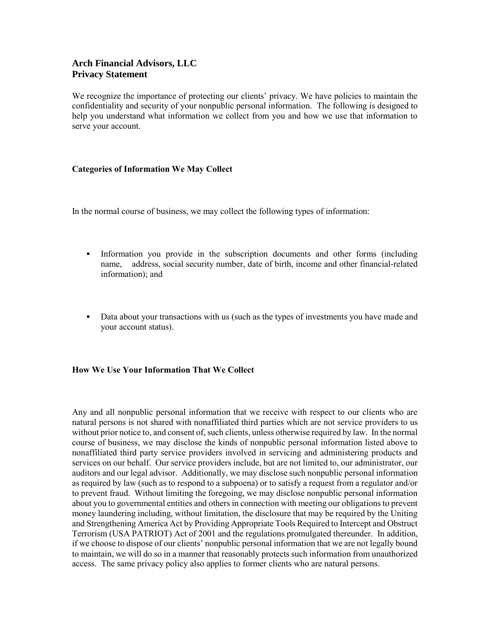## **Arch Financial Advisors, LLC Privacy Statement**

We recognize the importance of protecting our clients' privacy. We have policies to maintain the confidentiality and security of your nonpublic personal information. The following is designed to help you understand what information we collect from you and how we use that information to serve your account.

## **Categories of Information We May Collect**

In the normal course of business, we may collect the following types of information:

- Information you provide in the subscription documents and other forms (including name, address, social security number, date of birth, income and other financial-related information); and
- Data about your transactions with us (such as the types of investments you have made and your account status).

## **How We Use Your Information That We Collect**

Any and all nonpublic personal information that we receive with respect to our clients who are natural persons is not shared with nonaffiliated third parties which are not service providers to us without prior notice to, and consent of, such clients, unless otherwise required by law. In the normal course of business, we may disclose the kinds of nonpublic personal information listed above to nonaffiliated third party service providers involved in servicing and administering products and services on our behalf. Our service providers include, but are not limited to, our administrator, our auditors and our legal advisor. Additionally, we may disclose such nonpublic personal information as required by law (such as to respond to a subpoena) or to satisfy a request from a regulator and/or to prevent fraud. Without limiting the foregoing, we may disclose nonpublic personal information about you to governmental entities and others in connection with meeting our obligations to prevent money laundering including, without limitation, the disclosure that may be required by the Uniting and Strengthening America Act by Providing Appropriate Tools Required to Intercept and Obstruct Terrorism (USA PATRIOT) Act of 2001 and the regulations promulgated thereunder. In addition, if we choose to dispose of our clients' nonpublic personal information that we are not legally bound to maintain, we will do so in a manner that reasonably protects such information from unauthorized access. The same privacy policy also applies to former clients who are natural persons.